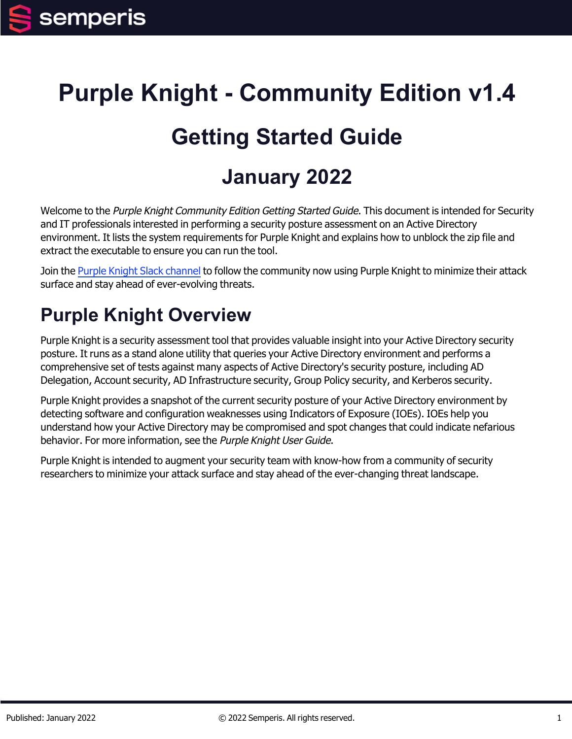# **Purple Knight - Community Edition v1.4**

# **Getting Started Guide**

# **January 2022**

Welcome to the Purple Knight Community Edition Getting Started Guide. This document is intended for Security and IT professionals interested in performing a security posture assessment on an Active Directory environment. It lists the system requirements for Purple Knight and explains how to unblock the zip file and extract the executable to ensure you can run the tool.

Join the Purple Knight Slack [channel](https://purpleknight.slack.com/join/shared_invite/zt-o8ojqo68-S7bQLV3U6w1V525lHMH~aA#/) to follow the community now using Purple Knight to minimize their attack surface and stay ahead of ever-evolving threats.

## **Purple Knight Overview**

Purple Knight is a security assessment tool that provides valuable insight into your Active Directory security posture. It runs as a stand alone utility that queries your Active Directory environment and performs a comprehensive set of tests against many aspects of Active Directory's security posture, including AD Delegation, Account security, AD Infrastructure security, Group Policy security, and Kerberos security.

Purple Knight provides a snapshot of the current security posture of your Active Directory environment by detecting software and configuration weaknesses using Indicators of Exposure (IOEs). IOEs help you understand how your Active Directory may be compromised and spot changes that could indicate nefarious behavior. For more information, see the Purple Knight User Guide.

Purple Knight is intended to augment your security team with know-how from a community of security researchers to minimize your attack surface and stay ahead of the ever-changing threat landscape.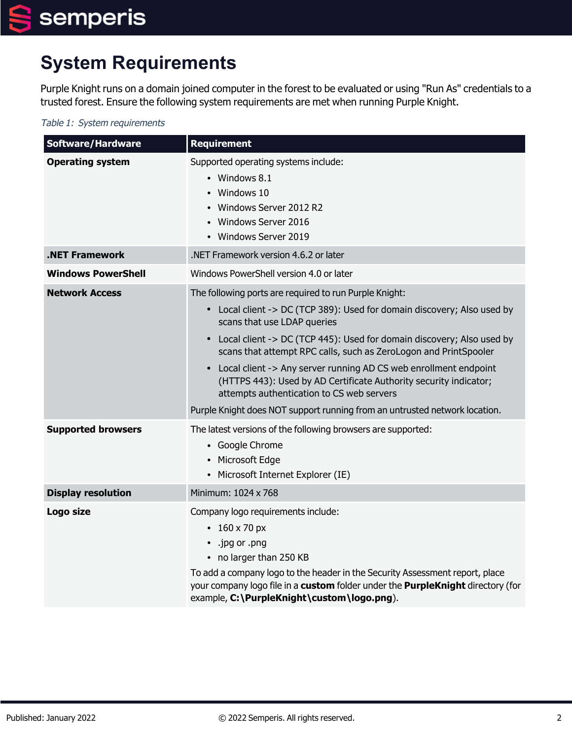## **System Requirements**

Purple Knight runs on a domain joined computer in the forest to be evaluated or using "Run As" credentials to a trusted forest. Ensure the following system requirements are met when running Purple Knight.

#### Table 1: System requirements

| <b>Software/Hardware</b>  | <b>Requirement</b>                                                                                                                                                                                                                                                                                                                                                                                                                                                                                                                                                                                                     |
|---------------------------|------------------------------------------------------------------------------------------------------------------------------------------------------------------------------------------------------------------------------------------------------------------------------------------------------------------------------------------------------------------------------------------------------------------------------------------------------------------------------------------------------------------------------------------------------------------------------------------------------------------------|
| <b>Operating system</b>   | Supported operating systems include:<br>• Windows 8.1<br>Windows 10<br>Windows Server 2012 R2<br>Windows Server 2016<br>• Windows Server 2019                                                                                                                                                                                                                                                                                                                                                                                                                                                                          |
| <b>.NET Framework</b>     | .NET Framework version 4.6.2 or later                                                                                                                                                                                                                                                                                                                                                                                                                                                                                                                                                                                  |
| <b>Windows PowerShell</b> | Windows PowerShell version 4.0 or later                                                                                                                                                                                                                                                                                                                                                                                                                                                                                                                                                                                |
| <b>Network Access</b>     | The following ports are required to run Purple Knight:<br>Local client -> DC (TCP 389): Used for domain discovery; Also used by<br>$\bullet$<br>scans that use LDAP queries<br>Local client -> DC (TCP 445): Used for domain discovery; Also used by<br>$\bullet$<br>scans that attempt RPC calls, such as ZeroLogon and PrintSpooler<br>Local client -> Any server running AD CS web enrollment endpoint<br>$\bullet$<br>(HTTPS 443): Used by AD Certificate Authority security indicator;<br>attempts authentication to CS web servers<br>Purple Knight does NOT support running from an untrusted network location. |
| <b>Supported browsers</b> | The latest versions of the following browsers are supported:<br>• Google Chrome<br>Microsoft Edge<br>• Microsoft Internet Explorer (IE)                                                                                                                                                                                                                                                                                                                                                                                                                                                                                |
| <b>Display resolution</b> | Minimum: 1024 x 768                                                                                                                                                                                                                                                                                                                                                                                                                                                                                                                                                                                                    |
| Logo size                 | Company logo requirements include:<br>• $160 \times 70 \text{ px}$<br>.jpg or .png<br>$\bullet$<br>• no larger than 250 KB<br>To add a company logo to the header in the Security Assessment report, place<br>your company logo file in a custom folder under the PurpleKnight directory (for<br>example, C:\PurpleKnight\custom\logo.png).                                                                                                                                                                                                                                                                            |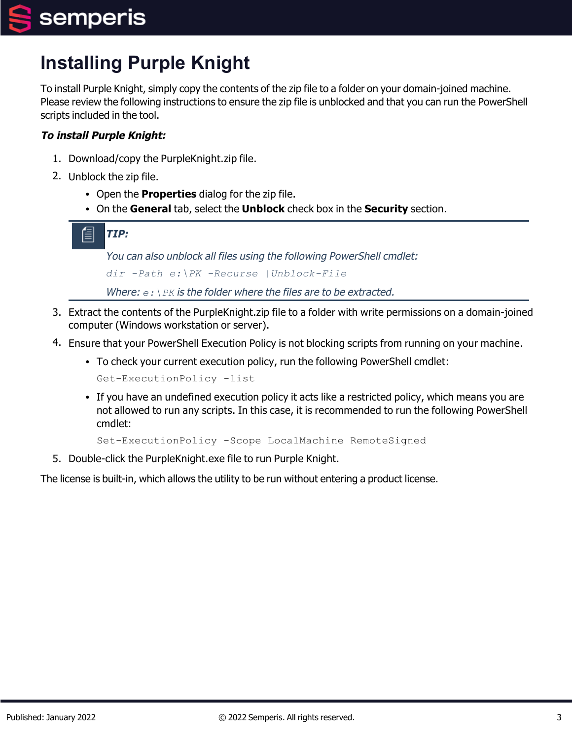# **Installing Purple Knight**

To install Purple Knight, simply copy the contents of the zip file to a folder on your domain-joined machine. Please review the following instructions to ensure the zip file is unblocked and that you can run the PowerShell scripts included in the tool.

#### **To install Purple Knight:**

- 1. Download/copy the PurpleKnight.zip file.
- 2. Unblock the zip file.
	- Open the **Properties** dialog for the zip file.
	- <sup>l</sup> On the **General** tab, select the **Unblock** check box in the **Security** section.

**TIP:**

You can also unblock all files using the following PowerShell cmdlet: *dir -Path e:\PK -Recurse |Unblock-File*

Where:  $e: \n\angle PK$  is the folder where the files are to be extracted.

- 3. Extract the contents of the PurpleKnight.zip file to a folder with write permissions on a domain-joined computer (Windows workstation or server).
- 4. Ensure that your PowerShell Execution Policy is not blocking scripts from running on your machine.
	- To check your current execution policy, run the following PowerShell cmdlet:

Get-ExecutionPolicy -list

• If you have an undefined execution policy it acts like a restricted policy, which means you are not allowed to run any scripts. In this case, it is recommended to run the following PowerShell cmdlet:

Set-ExecutionPolicy -Scope LocalMachine RemoteSigned

5. Double-click the PurpleKnight.exe file to run Purple Knight.

The license is built-in, which allows the utility to be run without entering a product license.